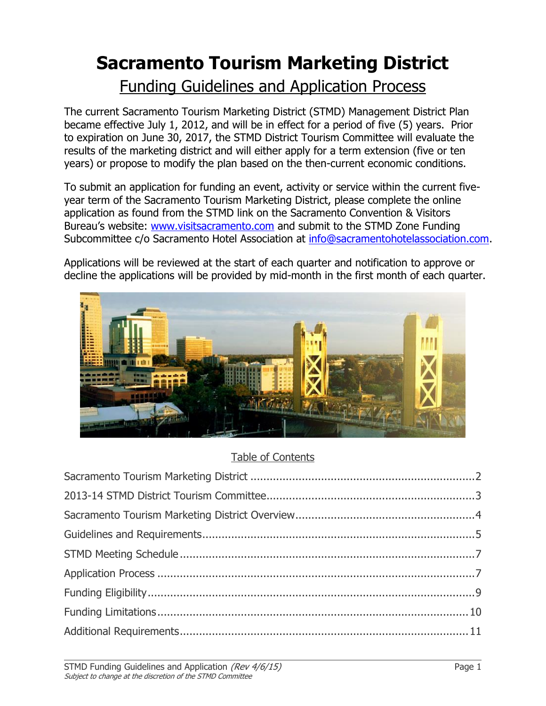# **Sacramento Tourism Marketing District**

## Funding Guidelines and Application Process

The current Sacramento Tourism Marketing District (STMD) Management District Plan became effective July 1, 2012, and will be in effect for a period of five (5) years. Prior to expiration on June 30, 2017, the STMD District Tourism Committee will evaluate the results of the marketing district and will either apply for a term extension (five or ten years) or propose to modify the plan based on the then-current economic conditions.

To submit an application for funding an event, activity or service within the current fiveyear term of the Sacramento Tourism Marketing District, please complete the online application as found from the STMD link on the Sacramento Convention & Visitors Bureau's website: [www.visitsacramento.com](http://www.visitsacramento.com/) and submit to the STMD Zone Funding Subcommittee c/o Sacramento Hotel Association at [info@sacramentohotelassociation.com.](mailto:info@sacramentohotelassociation.com)

Applications will be reviewed at the start of each quarter and notification to approve or decline the applications will be provided by mid-month in the first month of each quarter.



## Table of Contents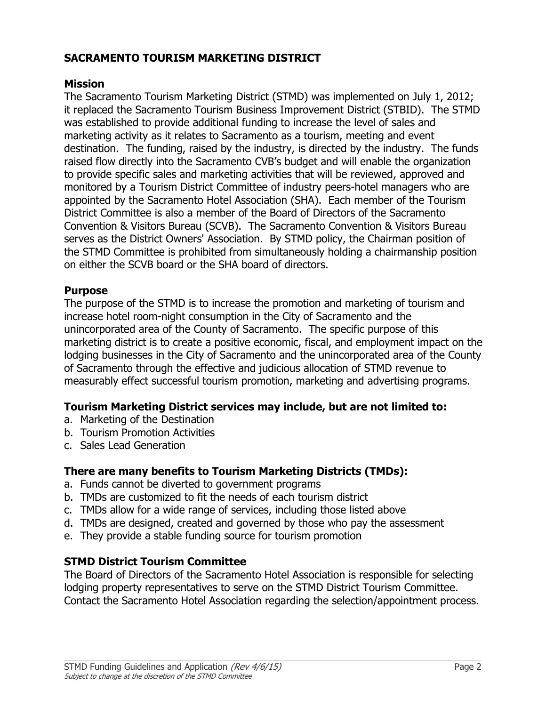## **SACRAMENTO TOURISM MARKETING DISTRICT**

#### **Mission**

The Sacramento Tourism Marketing District (STMD) was implemented on July 1, 2012; it replaced the Sacramento Tourism Business Improvement District (STBID). The STMD was established to provide additional funding to increase the level of sales and marketing activity as it relates to Sacramento as a tourism, meeting and event destination. The funding, raised by the industry, is directed by the industry. The funds raised flow directly into the Sacramento CVB's budget and will enable the organization to provide specific sales and marketing activities that will be reviewed, approved and monitored by a Tourism District Committee of industry peers-hotel managers who are appointed by the Sacramento Hotel Association (SHA). Each member of the Tourism District Committee is also a member of the Board of Directors of the Sacramento Convention & Visitors Bureau (SCVB). The Sacramento Convention & Visitors Bureau serves as the District Owners' Association. By STMD policy, the Chairman position of the STMD Committee is prohibited from simultaneously holding a chairmanship position on either the SCVB board or the SHA board of directors.

#### **Purpose**

The purpose of the STMD is to increase the promotion and marketing of tourism and increase hotel room-night consumption in the City of Sacramento and the unincorporated area of the County of Sacramento. The specific purpose of this marketing district is to create a positive economic, fiscal, and employment impact on the lodging businesses in the City of Sacramento and the unincorporated area of the County of Sacramento through the effective and judicious allocation of STMD revenue to measurably effect successful tourism promotion, marketing and advertising programs.

## **Tourism Marketing District services may include, but are not limited to:**

- a. Marketing of the Destination
- b. Tourism Promotion Activities
- c. Sales Lead Generation

## **There are many benefits to Tourism Marketing Districts (TMDs):**

- a. Funds cannot be diverted to government programs
- b. TMDs are customized to fit the needs of each tourism district
- c. TMDs allow for a wide range of services, including those listed above
- d. TMDs are designed, created and governed by those who pay the assessment
- e. They provide a stable funding source for tourism promotion

## **STMD District Tourism Committee**

The Board of Directors of the Sacramento Hotel Association is responsible for selecting lodging property representatives to serve on the STMD District Tourism Committee. Contact the Sacramento Hotel Association regarding the selection/appointment process.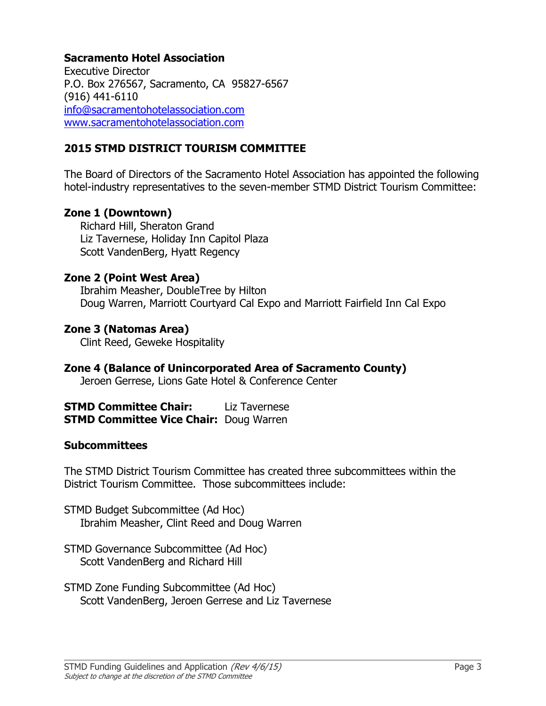#### **Sacramento Hotel Association**

Executive Director P.O. Box 276567, Sacramento, CA 95827-6567 (916) 441-6110 [info@sacramentohotelassociation.com](mailto:info@sacramentohotelassociation.com) [www.sacramentohotelassociation.com](http://www.sacramentohotelassociation.com/)

## **2015 STMD DISTRICT TOURISM COMMITTEE**

The Board of Directors of the Sacramento Hotel Association has appointed the following hotel-industry representatives to the seven-member STMD District Tourism Committee:

#### **Zone 1 (Downtown)**

Richard Hill, Sheraton Grand Liz Tavernese, Holiday Inn Capitol Plaza Scott VandenBerg, Hyatt Regency

#### **Zone 2 (Point West Area)**

Ibrahim Measher, DoubleTree by Hilton Doug Warren, Marriott Courtyard Cal Expo and Marriott Fairfield Inn Cal Expo

#### **Zone 3 (Natomas Area)**

Clint Reed, Geweke Hospitality

**Zone 4 (Balance of Unincorporated Area of Sacramento County)** Jeroen Gerrese, Lions Gate Hotel & Conference Center

**STMD Committee Chair:** Liz Tavernese **STMD Committee Vice Chair:** Doug Warren

#### **Subcommittees**

The STMD District Tourism Committee has created three subcommittees within the District Tourism Committee. Those subcommittees include:

STMD Budget Subcommittee (Ad Hoc) Ibrahim Measher, Clint Reed and Doug Warren

STMD Governance Subcommittee (Ad Hoc) Scott VandenBerg and Richard Hill

STMD Zone Funding Subcommittee (Ad Hoc) Scott VandenBerg, Jeroen Gerrese and Liz Tavernese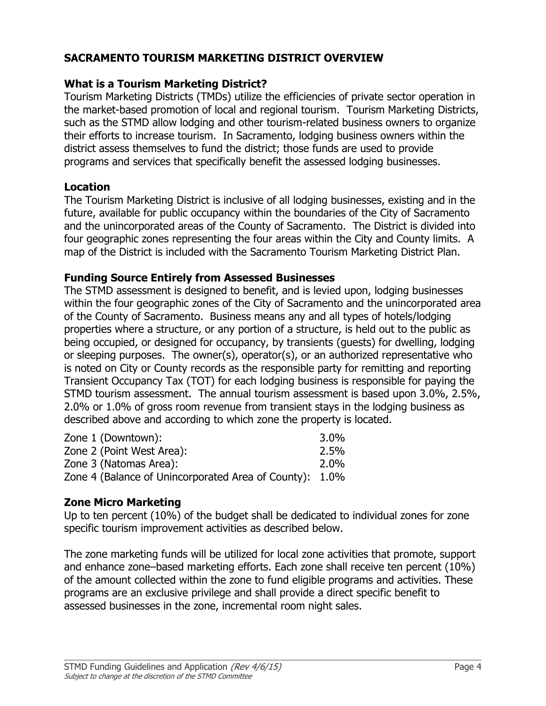## **SACRAMENTO TOURISM MARKETING DISTRICT OVERVIEW**

## **What is a Tourism Marketing District?**

Tourism Marketing Districts (TMDs) utilize the efficiencies of private sector operation in the market-based promotion of local and regional tourism. Tourism Marketing Districts, such as the STMD allow lodging and other tourism-related business owners to organize their efforts to increase tourism. In Sacramento, lodging business owners within the district assess themselves to fund the district; those funds are used to provide programs and services that specifically benefit the assessed lodging businesses.

#### **Location**

The Tourism Marketing District is inclusive of all lodging businesses, existing and in the future, available for public occupancy within the boundaries of the City of Sacramento and the unincorporated areas of the County of Sacramento. The District is divided into four geographic zones representing the four areas within the City and County limits. A map of the District is included with the Sacramento Tourism Marketing District Plan.

#### **Funding Source Entirely from Assessed Businesses**

The STMD assessment is designed to benefit, and is levied upon, lodging businesses within the four geographic zones of the City of Sacramento and the unincorporated area of the County of Sacramento. Business means any and all types of hotels/lodging properties where a structure, or any portion of a structure, is held out to the public as being occupied, or designed for occupancy, by transients (guests) for dwelling, lodging or sleeping purposes. The owner(s), operator(s), or an authorized representative who is noted on City or County records as the responsible party for remitting and reporting Transient Occupancy Tax (TOT) for each lodging business is responsible for paying the STMD tourism assessment. The annual tourism assessment is based upon 3.0%, 2.5%, 2.0% or 1.0% of gross room revenue from transient stays in the lodging business as described above and according to which zone the property is located.

| Zone 1 (Downtown):                                      | $3.0\%$ |
|---------------------------------------------------------|---------|
| Zone 2 (Point West Area):                               | 2.5%    |
| Zone 3 (Natomas Area):                                  | 2.0%    |
| Zone 4 (Balance of Unincorporated Area of County): 1.0% |         |

## **Zone Micro Marketing**

Up to ten percent (10%) of the budget shall be dedicated to individual zones for zone specific tourism improvement activities as described below.

The zone marketing funds will be utilized for local zone activities that promote, support and enhance zone–based marketing efforts. Each zone shall receive ten percent (10%) of the amount collected within the zone to fund eligible programs and activities. These programs are an exclusive privilege and shall provide a direct specific benefit to assessed businesses in the zone, incremental room night sales.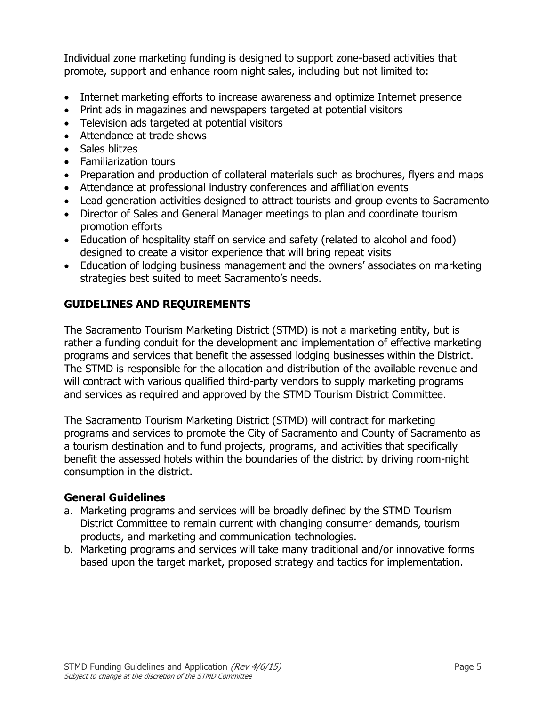Individual zone marketing funding is designed to support zone-based activities that promote, support and enhance room night sales, including but not limited to:

- Internet marketing efforts to increase awareness and optimize Internet presence
- Print ads in magazines and newspapers targeted at potential visitors
- Television ads targeted at potential visitors
- Attendance at trade shows
- Sales blitzes
- Familiarization tours
- Preparation and production of collateral materials such as brochures, flyers and maps
- Attendance at professional industry conferences and affiliation events
- Lead generation activities designed to attract tourists and group events to Sacramento
- Director of Sales and General Manager meetings to plan and coordinate tourism promotion efforts
- Education of hospitality staff on service and safety (related to alcohol and food) designed to create a visitor experience that will bring repeat visits
- Education of lodging business management and the owners' associates on marketing strategies best suited to meet Sacramento's needs.

## **GUIDELINES AND REQUIREMENTS**

The Sacramento Tourism Marketing District (STMD) is not a marketing entity, but is rather a funding conduit for the development and implementation of effective marketing programs and services that benefit the assessed lodging businesses within the District. The STMD is responsible for the allocation and distribution of the available revenue and will contract with various qualified third-party vendors to supply marketing programs and services as required and approved by the STMD Tourism District Committee.

The Sacramento Tourism Marketing District (STMD) will contract for marketing programs and services to promote the City of Sacramento and County of Sacramento as a tourism destination and to fund projects, programs, and activities that specifically benefit the assessed hotels within the boundaries of the district by driving room-night consumption in the district.

## **General Guidelines**

- a. Marketing programs and services will be broadly defined by the STMD Tourism District Committee to remain current with changing consumer demands, tourism products, and marketing and communication technologies.
- b. Marketing programs and services will take many traditional and/or innovative forms based upon the target market, proposed strategy and tactics for implementation.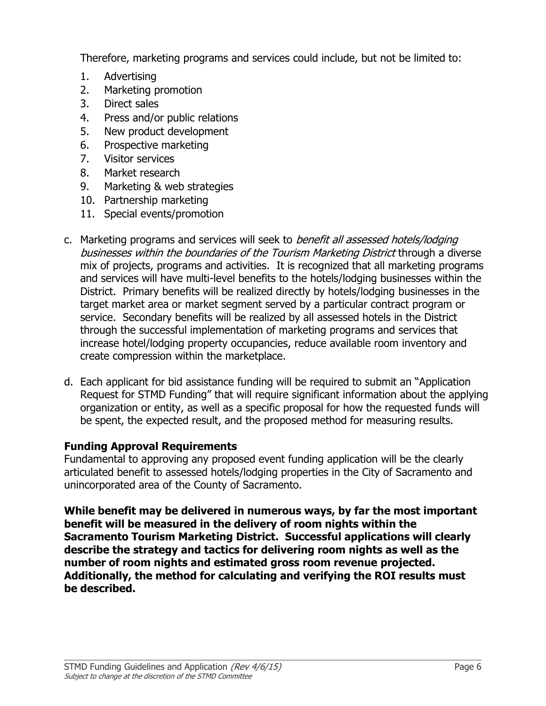Therefore, marketing programs and services could include, but not be limited to:

- 1. Advertising
- 2. Marketing promotion
- 3. Direct sales
- 4. Press and/or public relations
- 5. New product development
- 6. Prospective marketing
- 7. Visitor services
- 8. Market research
- 9. Marketing & web strategies
- 10. Partnership marketing
- 11. Special events/promotion
- c. Marketing programs and services will seek to *benefit all assessed hotels/lodging* businesses within the boundaries of the Tourism Marketing District through a diverse mix of projects, programs and activities. It is recognized that all marketing programs and services will have multi-level benefits to the hotels/lodging businesses within the District. Primary benefits will be realized directly by hotels/lodging businesses in the target market area or market segment served by a particular contract program or service. Secondary benefits will be realized by all assessed hotels in the District through the successful implementation of marketing programs and services that increase hotel/lodging property occupancies, reduce available room inventory and create compression within the marketplace.
- d. Each applicant for bid assistance funding will be required to submit an "Application Request for STMD Funding" that will require significant information about the applying organization or entity, as well as a specific proposal for how the requested funds will be spent, the expected result, and the proposed method for measuring results.

## **Funding Approval Requirements**

Fundamental to approving any proposed event funding application will be the clearly articulated benefit to assessed hotels/lodging properties in the City of Sacramento and unincorporated area of the County of Sacramento.

**While benefit may be delivered in numerous ways, by far the most important benefit will be measured in the delivery of room nights within the Sacramento Tourism Marketing District. Successful applications will clearly describe the strategy and tactics for delivering room nights as well as the number of room nights and estimated gross room revenue projected. Additionally, the method for calculating and verifying the ROI results must be described.**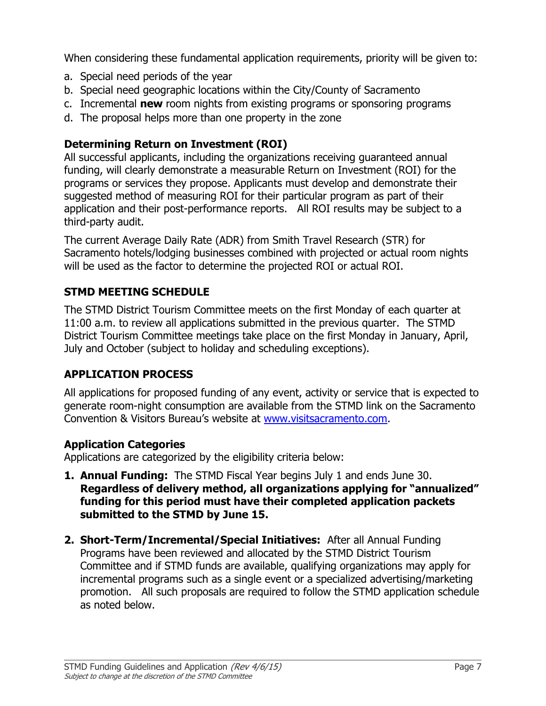When considering these fundamental application requirements, priority will be given to:

- a. Special need periods of the year
- b. Special need geographic locations within the City/County of Sacramento
- c. Incremental **new** room nights from existing programs or sponsoring programs
- d. The proposal helps more than one property in the zone

## **Determining Return on Investment (ROI)**

All successful applicants, including the organizations receiving guaranteed annual funding, will clearly demonstrate a measurable Return on Investment (ROI) for the programs or services they propose. Applicants must develop and demonstrate their suggested method of measuring ROI for their particular program as part of their application and their post-performance reports. All ROI results may be subject to a third-party audit.

The current Average Daily Rate (ADR) from Smith Travel Research (STR) for Sacramento hotels/lodging businesses combined with projected or actual room nights will be used as the factor to determine the projected ROI or actual ROI.

## **STMD MEETING SCHEDULE**

The STMD District Tourism Committee meets on the first Monday of each quarter at 11:00 a.m. to review all applications submitted in the previous quarter. The STMD District Tourism Committee meetings take place on the first Monday in January, April, July and October (subject to holiday and scheduling exceptions).

## **APPLICATION PROCESS**

All applications for proposed funding of any event, activity or service that is expected to generate room-night consumption are available from the STMD link on the Sacramento Convention & Visitors Bureau's website at [www.visitsacramento.com.](http://www.visitsacramento.com/)

## **Application Categories**

Applications are categorized by the eligibility criteria below:

- **1. Annual Funding:** The STMD Fiscal Year begins July 1 and ends June 30. **Regardless of delivery method, all organizations applying for "annualized" funding for this period must have their completed application packets submitted to the STMD by June 15.**
- **2. Short-Term/Incremental/Special Initiatives:** After all Annual Funding Programs have been reviewed and allocated by the STMD District Tourism Committee and if STMD funds are available, qualifying organizations may apply for incremental programs such as a single event or a specialized advertising/marketing promotion. All such proposals are required to follow the STMD application schedule as noted below.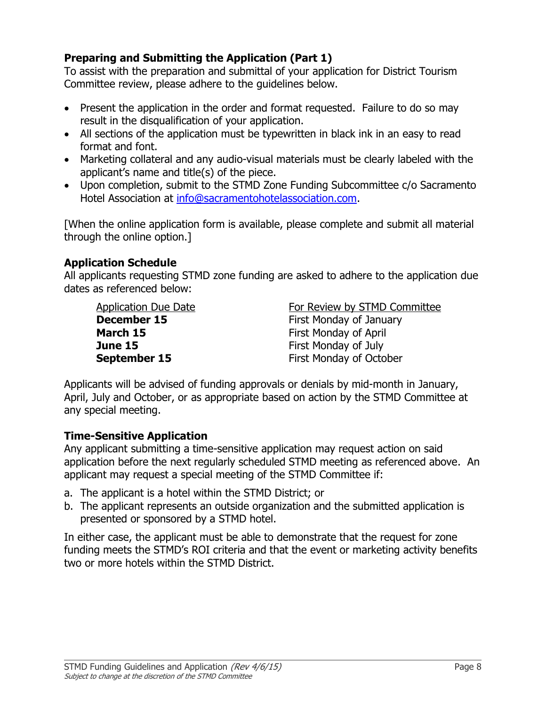## **Preparing and Submitting the Application (Part 1)**

To assist with the preparation and submittal of your application for District Tourism Committee review, please adhere to the guidelines below.

- Present the application in the order and format requested. Failure to do so may result in the disqualification of your application.
- All sections of the application must be typewritten in black ink in an easy to read format and font.
- Marketing collateral and any audio-visual materials must be clearly labeled with the applicant's name and title(s) of the piece.
- Upon completion, submit to the STMD Zone Funding Subcommittee c/o Sacramento Hotel Association at [info@sacramentohotelassociation.com.](mailto:info@sacramentohotelassociation.com)

[When the online application form is available, please complete and submit all material through the online option.]

## **Application Schedule**

All applicants requesting STMD zone funding are asked to adhere to the application due dates as referenced below:

**March 15** First Monday of April **June 15** First Monday of July

Application Due Date **For Review by STMD Committee December 15** First Monday of January **September 15** First Monday of October

Applicants will be advised of funding approvals or denials by mid-month in January, April, July and October, or as appropriate based on action by the STMD Committee at any special meeting.

## **Time-Sensitive Application**

Any applicant submitting a time-sensitive application may request action on said application before the next regularly scheduled STMD meeting as referenced above. An applicant may request a special meeting of the STMD Committee if:

- a. The applicant is a hotel within the STMD District; or
- b. The applicant represents an outside organization and the submitted application is presented or sponsored by a STMD hotel.

In either case, the applicant must be able to demonstrate that the request for zone funding meets the STMD's ROI criteria and that the event or marketing activity benefits two or more hotels within the STMD District.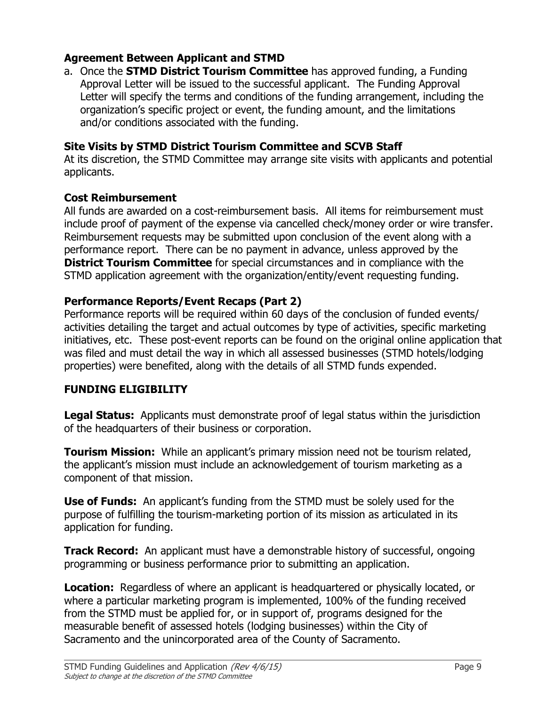## **Agreement Between Applicant and STMD**

a. Once the **STMD District Tourism Committee** has approved funding, a Funding Approval Letter will be issued to the successful applicant. The Funding Approval Letter will specify the terms and conditions of the funding arrangement, including the organization's specific project or event, the funding amount, and the limitations and/or conditions associated with the funding.

#### **Site Visits by STMD District Tourism Committee and SCVB Staff**

At its discretion, the STMD Committee may arrange site visits with applicants and potential applicants.

#### **Cost Reimbursement**

All funds are awarded on a cost-reimbursement basis. All items for reimbursement must include proof of payment of the expense via cancelled check/money order or wire transfer. Reimbursement requests may be submitted upon conclusion of the event along with a performance report. There can be no payment in advance, unless approved by the **District Tourism Committee** for special circumstances and in compliance with the STMD application agreement with the organization/entity/event requesting funding.

#### **Performance Reports/Event Recaps (Part 2)**

Performance reports will be required within 60 days of the conclusion of funded events/ activities detailing the target and actual outcomes by type of activities, specific marketing initiatives, etc. These post-event reports can be found on the original online application that was filed and must detail the way in which all assessed businesses (STMD hotels/lodging properties) were benefited, along with the details of all STMD funds expended.

## **FUNDING ELIGIBILITY**

**Legal Status:** Applicants must demonstrate proof of legal status within the jurisdiction of the headquarters of their business or corporation.

**Tourism Mission:** While an applicant's primary mission need not be tourism related, the applicant's mission must include an acknowledgement of tourism marketing as a component of that mission.

**Use of Funds:** An applicant's funding from the STMD must be solely used for the purpose of fulfilling the tourism-marketing portion of its mission as articulated in its application for funding.

**Track Record:** An applicant must have a demonstrable history of successful, ongoing programming or business performance prior to submitting an application.

**Location:** Regardless of where an applicant is headquartered or physically located, or where a particular marketing program is implemented, 100% of the funding received from the STMD must be applied for, or in support of, programs designed for the measurable benefit of assessed hotels (lodging businesses) within the City of Sacramento and the unincorporated area of the County of Sacramento.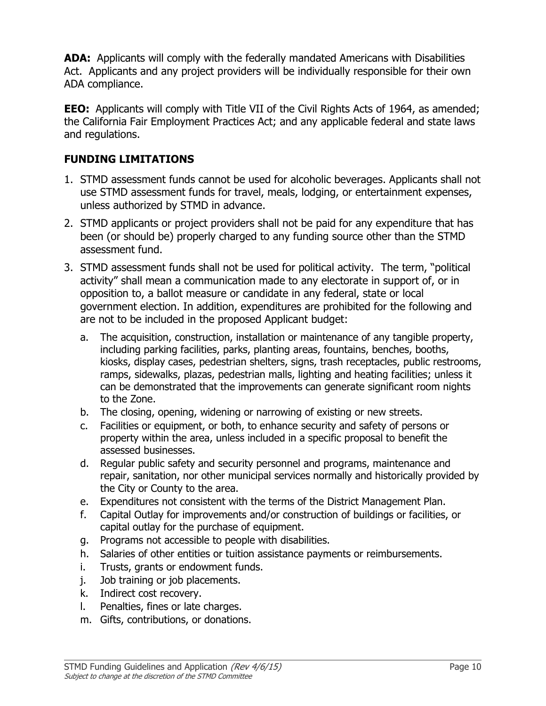**ADA:** Applicants will comply with the federally mandated Americans with Disabilities Act. Applicants and any project providers will be individually responsible for their own ADA compliance.

**EEO:** Applicants will comply with Title VII of the Civil Rights Acts of 1964, as amended; the California Fair Employment Practices Act; and any applicable federal and state laws and regulations.

## **FUNDING LIMITATIONS**

- 1. STMD assessment funds cannot be used for alcoholic beverages. Applicants shall not use STMD assessment funds for travel, meals, lodging, or entertainment expenses, unless authorized by STMD in advance.
- 2. STMD applicants or project providers shall not be paid for any expenditure that has been (or should be) properly charged to any funding source other than the STMD assessment fund.
- 3. STMD assessment funds shall not be used for political activity. The term, "political activity" shall mean a communication made to any electorate in support of, or in opposition to, a ballot measure or candidate in any federal, state or local government election. In addition, expenditures are prohibited for the following and are not to be included in the proposed Applicant budget:
	- a. The acquisition, construction, installation or maintenance of any tangible property, including parking facilities, parks, planting areas, fountains, benches, booths, kiosks, display cases, pedestrian shelters, signs, trash receptacles, public restrooms, ramps, sidewalks, plazas, pedestrian malls, lighting and heating facilities; unless it can be demonstrated that the improvements can generate significant room nights to the Zone.
	- b. The closing, opening, widening or narrowing of existing or new streets.
	- c. Facilities or equipment, or both, to enhance security and safety of persons or property within the area, unless included in a specific proposal to benefit the assessed businesses.
	- d. Regular public safety and security personnel and programs, maintenance and repair, sanitation, nor other municipal services normally and historically provided by the City or County to the area.
	- e. Expenditures not consistent with the terms of the District Management Plan.
	- f. Capital Outlay for improvements and/or construction of buildings or facilities, or capital outlay for the purchase of equipment.
	- g. Programs not accessible to people with disabilities.
	- h. Salaries of other entities or tuition assistance payments or reimbursements.
	- i. Trusts, grants or endowment funds.
	- j. Job training or job placements.
	- k. Indirect cost recovery.
	- l. Penalties, fines or late charges.
	- m. Gifts, contributions, or donations.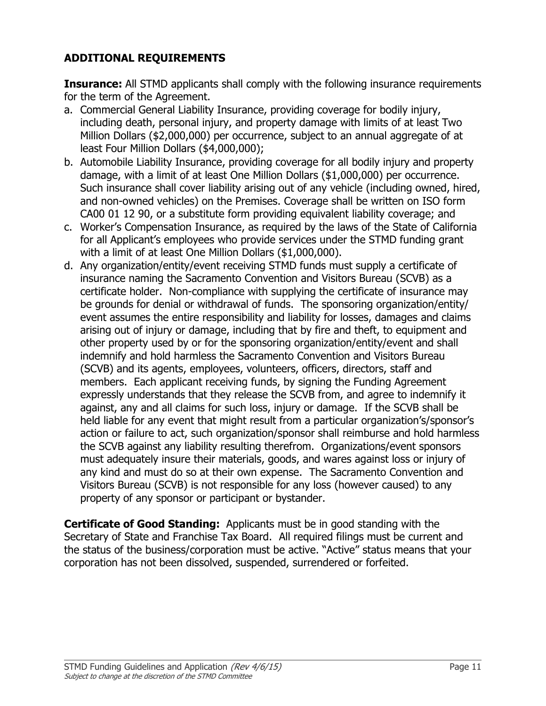## **ADDITIONAL REQUIREMENTS**

**Insurance:** All STMD applicants shall comply with the following insurance requirements for the term of the Agreement.

- a. Commercial General Liability Insurance, providing coverage for bodily injury, including death, personal injury, and property damage with limits of at least Two Million Dollars (\$2,000,000) per occurrence, subject to an annual aggregate of at least Four Million Dollars (\$4,000,000);
- b. Automobile Liability Insurance, providing coverage for all bodily injury and property damage, with a limit of at least One Million Dollars (\$1,000,000) per occurrence. Such insurance shall cover liability arising out of any vehicle (including owned, hired, and non-owned vehicles) on the Premises. Coverage shall be written on ISO form CA00 01 12 90, or a substitute form providing equivalent liability coverage; and
- c. Worker's Compensation Insurance, as required by the laws of the State of California for all Applicant's employees who provide services under the STMD funding grant with a limit of at least One Million Dollars (\$1,000,000).
- d. Any organization/entity/event receiving STMD funds must supply a certificate of insurance naming the Sacramento Convention and Visitors Bureau (SCVB) as a certificate holder. Non-compliance with supplying the certificate of insurance may be grounds for denial or withdrawal of funds. The sponsoring organization/entity/ event assumes the entire responsibility and liability for losses, damages and claims arising out of injury or damage, including that by fire and theft, to equipment and other property used by or for the sponsoring organization/entity/event and shall indemnify and hold harmless the Sacramento Convention and Visitors Bureau (SCVB) and its agents, employees, volunteers, officers, directors, staff and members. Each applicant receiving funds, by signing the Funding Agreement expressly understands that they release the SCVB from, and agree to indemnify it against, any and all claims for such loss, injury or damage. If the SCVB shall be held liable for any event that might result from a particular organization's/sponsor's action or failure to act, such organization/sponsor shall reimburse and hold harmless the SCVB against any liability resulting therefrom. Organizations/event sponsors must adequately insure their materials, goods, and wares against loss or injury of any kind and must do so at their own expense. The Sacramento Convention and Visitors Bureau (SCVB) is not responsible for any loss (however caused) to any property of any sponsor or participant or bystander.

**Certificate of Good Standing:** Applicants must be in good standing with the Secretary of State and Franchise Tax Board. All required filings must be current and the status of the business/corporation must be active. "Active" status means that your corporation has not been dissolved, suspended, surrendered or forfeited.